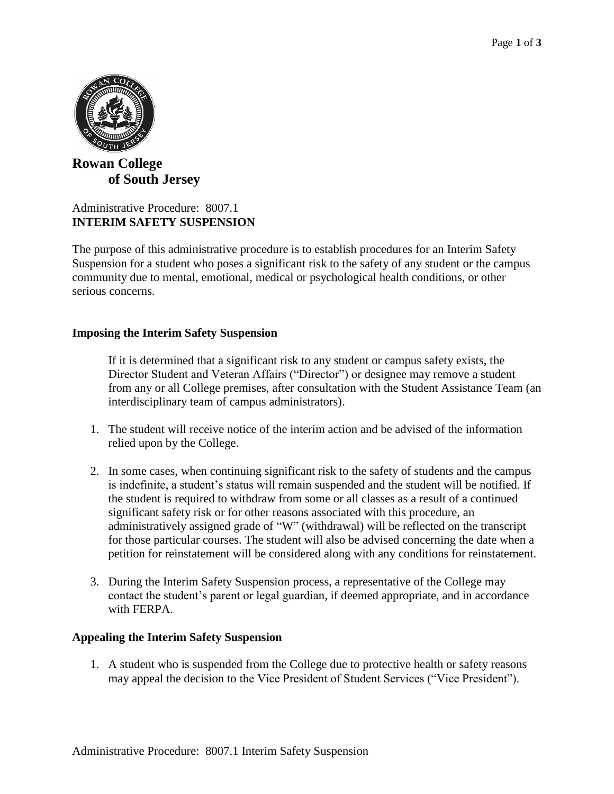

# **Rowan College of South Jersey**

## Administrative Procedure: 8007.1 **INTERIM SAFETY SUSPENSION**

The purpose of this administrative procedure is to establish procedures for an Interim Safety Suspension for a student who poses a significant risk to the safety of any student or the campus community due to mental, emotional, medical or psychological health conditions, or other serious concerns.

## **Imposing the Interim Safety Suspension**

If it is determined that a significant risk to any student or campus safety exists, the Director Student and Veteran Affairs ("Director") or designee may remove a student from any or all College premises, after consultation with the Student Assistance Team (an interdisciplinary team of campus administrators).

- 1. The student will receive notice of the interim action and be advised of the information relied upon by the College.
- 2. In some cases, when continuing significant risk to the safety of students and the campus is indefinite, a student's status will remain suspended and the student will be notified. If the student is required to withdraw from some or all classes as a result of a continued significant safety risk or for other reasons associated with this procedure, an administratively assigned grade of "W" (withdrawal) will be reflected on the transcript for those particular courses. The student will also be advised concerning the date when a petition for reinstatement will be considered along with any conditions for reinstatement.
- 3. During the Interim Safety Suspension process, a representative of the College may contact the student's parent or legal guardian, if deemed appropriate, and in accordance with FERPA.

### **Appealing the Interim Safety Suspension**

1. A student who is suspended from the College due to protective health or safety reasons may appeal the decision to the Vice President of Student Services ("Vice President").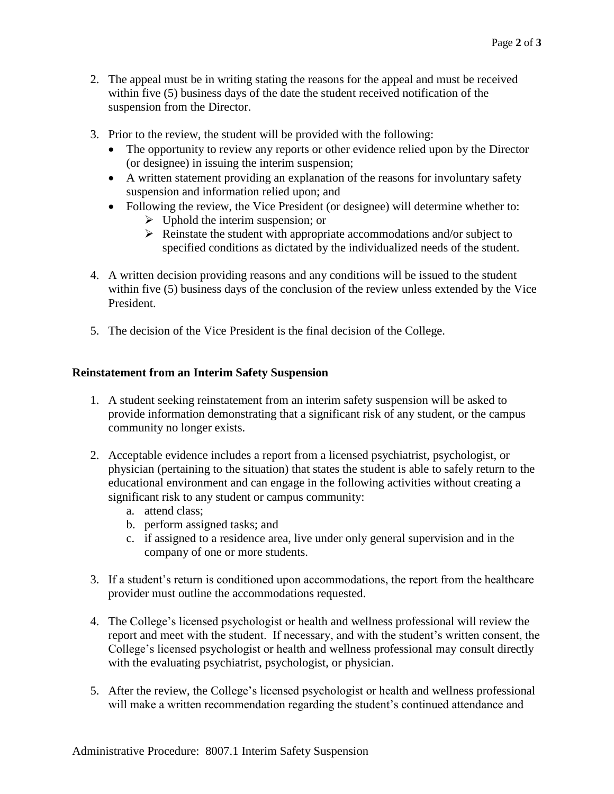- 2. The appeal must be in writing stating the reasons for the appeal and must be received within five (5) business days of the date the student received notification of the suspension from the Director.
- 3. Prior to the review, the student will be provided with the following:
	- The opportunity to review any reports or other evidence relied upon by the Director (or designee) in issuing the interim suspension;
	- A written statement providing an explanation of the reasons for involuntary safety suspension and information relied upon; and
	- Following the review, the Vice President (or designee) will determine whether to:
		- $\triangleright$  Uphold the interim suspension; or
		- $\triangleright$  Reinstate the student with appropriate accommodations and/or subject to specified conditions as dictated by the individualized needs of the student.
- 4. A written decision providing reasons and any conditions will be issued to the student within five (5) business days of the conclusion of the review unless extended by the Vice President.
- 5. The decision of the Vice President is the final decision of the College.

### **Reinstatement from an Interim Safety Suspension**

- 1. A student seeking reinstatement from an interim safety suspension will be asked to provide information demonstrating that a significant risk of any student, or the campus community no longer exists.
- 2. Acceptable evidence includes a report from a licensed psychiatrist, psychologist, or physician (pertaining to the situation) that states the student is able to safely return to the educational environment and can engage in the following activities without creating a significant risk to any student or campus community:
	- a. attend class;
	- b. perform assigned tasks; and
	- c. if assigned to a residence area, live under only general supervision and in the company of one or more students.
- 3. If a student's return is conditioned upon accommodations, the report from the healthcare provider must outline the accommodations requested.
- 4. The College's licensed psychologist or health and wellness professional will review the report and meet with the student. If necessary, and with the student's written consent, the College's licensed psychologist or health and wellness professional may consult directly with the evaluating psychiatrist, psychologist, or physician.
- 5. After the review, the College's licensed psychologist or health and wellness professional will make a written recommendation regarding the student's continued attendance and